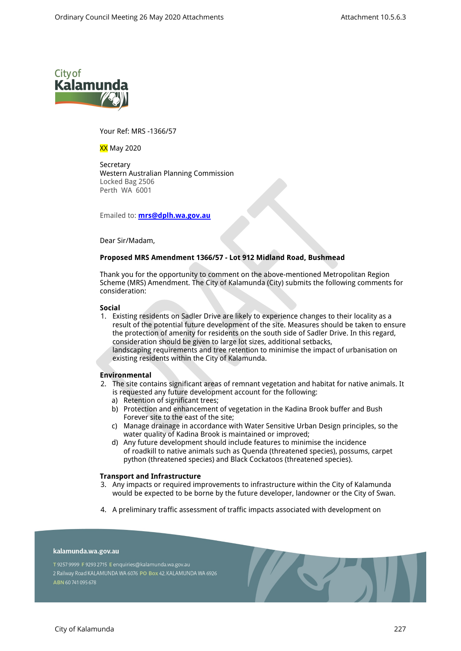

Your Ref: MRS -1366/57

XX May 2020

Secretary Western Australian Planning Commission Locked Bag 2506 Perth WA 6001

Emailed to: **[mrs@dplh.wa.gov.au](mailto:mrs@dplh.wa.gov.au)**

Dear Sir/Madam,

# **Proposed MRS Amendment 1366/57 - Lot 912 Midland Road, Bushmead**

Thank you for the opportunity to comment on the above-mentioned Metropolitan Region Scheme (MRS) Amendment. The City of Kalamunda (City) submits the following comments for consideration:

## **Social**

- 1. Existing residents on Sadler Drive are likely to experience changes to their locality as a result of the potential future development of the site. Measures should be taken to ensure the protection of amenity for residents on the south side of Sadler Drive. In this regard, consideration should be given to large lot sizes, additional setbacks, landscaping requirements and tree retention to minimise the impact of urbanisation on
	- existing residents within the City of Kalamunda.

# **Environmental**

- 2. The site contains significant areas of remnant vegetation and habitat for native animals. It is requested any future development account for the following:
	- a) Retention of significant trees;
	- b) Protection and enhancement of vegetation in the Kadina Brook buffer and Bush Forever site to the east of the site;
	- c) Manage drainage in accordance with Water Sensitive Urban Design principles, so the water quality of Kadina Brook is maintained or improved;
	- d) Any future development should include features to minimise the incidence of roadkill to native animals such as Quenda (threatened species), possums, carpet python (threatened species) and Black Cockatoos (threatened species).

## **Transport and Infrastructure**

- 3. Any impacts or required improvements to infrastructure within the City of Kalamunda would be expected to be borne by the future developer, landowner or the City of Swan.
- 4. A preliminary traffic assessment of traffic impacts associated with development on

## kalamunda.wa.gov.au

T 9257 9999 F 9293 2715 E enquiries@kalamunda.wa.gov.au 2 Railway Road KALAMUNDA WA 6076 PO Box 42, KALAMUNDA WA 6926 ABN 60741095678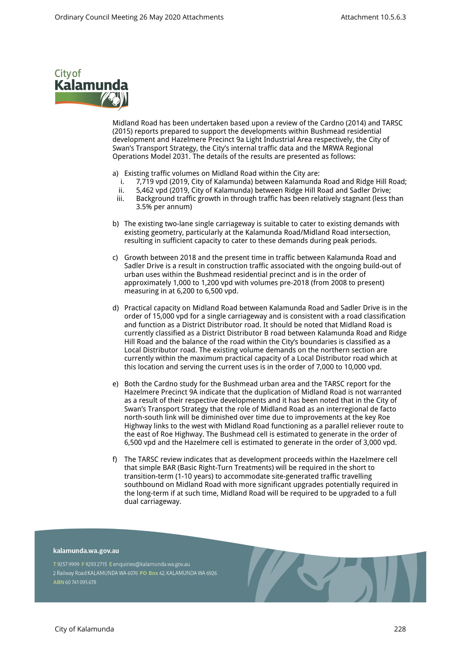

Midland Road has been undertaken based upon a review of the Cardno (2014) and TARSC (2015) reports prepared to support the developments within Bushmead residential development and Hazelmere Precinct 9a Light Industrial Area respectively, the City of Swan's Transport Strategy, the City's internal traffic data and the MRWA Regional Operations Model 2031. The details of the results are presented as follows:

- a) Existing traffic volumes on Midland Road within the City are:
	- i. 7,719 vpd (2019, City of Kalamunda) between Kalamunda Road and Ridge Hill Road;
	- ii. 5,462 vpd (2019, City of Kalamunda) between Ridge Hill Road and Sadler Drive;
	- iii. Background traffic growth in through traffic has been relatively stagnant (less than 3.5% per annum)
- b) The existing two-lane single carriageway is suitable to cater to existing demands with existing geometry, particularly at the Kalamunda Road/Midland Road intersection, resulting in sufficient capacity to cater to these demands during peak periods.
- c) Growth between 2018 and the present time in traffic between Kalamunda Road and Sadler Drive is a result in construction traffic associated with the ongoing build-out of urban uses within the Bushmead residential precinct and is in the order of approximately 1,000 to 1,200 vpd with volumes pre-2018 (from 2008 to present) measuring in at 6,200 to 6,500 vpd.
- d) Practical capacity on Midland Road between Kalamunda Road and Sadler Drive is in the order of 15,000 vpd for a single carriageway and is consistent with a road classification and function as a District Distributor road. It should be noted that Midland Road is currently classified as a District Distributor B road between Kalamunda Road and Ridge Hill Road and the balance of the road within the City's boundaries is classified as a Local Distributor road. The existing volume demands on the northern section are currently within the maximum practical capacity of a Local Distributor road which at this location and serving the current uses is in the order of 7,000 to 10,000 vpd.
- e) Both the Cardno study for the Bushmead urban area and the TARSC report for the Hazelmere Precinct 9A indicate that the duplication of Midland Road is not warranted as a result of their respective developments and it has been noted that in the City of Swan's Transport Strategy that the role of Midland Road as an interregional de facto north-south link will be diminished over time due to improvements at the key Roe Highway links to the west with Midland Road functioning as a parallel reliever route to the east of Roe Highway. The Bushmead cell is estimated to generate in the order of 6,500 vpd and the Hazelmere cell is estimated to generate in the order of 3,000 vpd.
- f) The TARSC review indicates that as development proceeds within the Hazelmere cell that simple BAR (Basic Right-Turn Treatments) will be required in the short to transition-term (1-10 years) to accommodate site-generated traffic travelling southbound on Midland Road with more significant upgrades potentially required in the long-term if at such time, Midland Road will be required to be upgraded to a full dual carriageway.

#### kalamunda.wa.gov.au

T 9257 9999 F 9293 2715 E enquiries@kalamunda.wa.gov.au 2 Railway Road KALAMUNDA WA 6076 PO Box 42, KALAMUNDA WA 6926 ABN 60741095678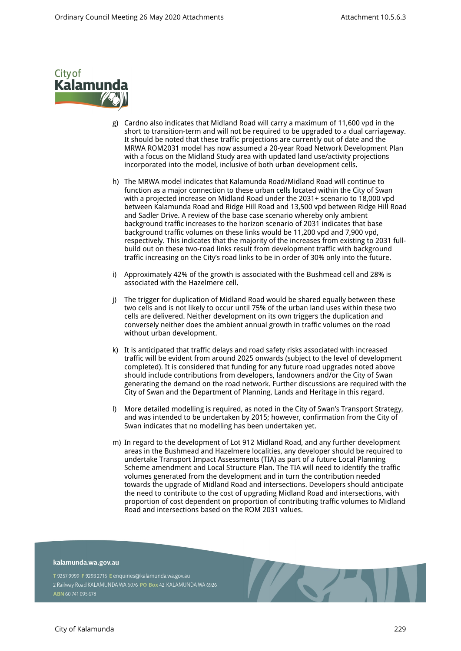

- g) Cardno also indicates that Midland Road will carry a maximum of 11,600 vpd in the short to transition-term and will not be required to be upgraded to a dual carriageway. It should be noted that these traffic projections are currently out of date and the MRWA ROM2031 model has now assumed a 20-year Road Network Development Plan with a focus on the Midland Study area with updated land use/activity projections incorporated into the model, inclusive of both urban development cells.
- h) The MRWA model indicates that Kalamunda Road/Midland Road will continue to function as a major connection to these urban cells located within the City of Swan with a projected increase on Midland Road under the 2031+ scenario to 18,000 vpd between Kalamunda Road and Ridge Hill Road and 13,500 vpd between Ridge Hill Road and Sadler Drive. A review of the base case scenario whereby only ambient background traffic increases to the horizon scenario of 2031 indicates that base background traffic volumes on these links would be 11,200 vpd and 7,900 vpd, respectively. This indicates that the majority of the increases from existing to 2031 fullbuild out on these two-road links result from development traffic with background traffic increasing on the City's road links to be in order of 30% only into the future.
- i) Approximately 42% of the growth is associated with the Bushmead cell and 28% is associated with the Hazelmere cell.
- j) The trigger for duplication of Midland Road would be shared equally between these two cells and is not likely to occur until 75% of the urban land uses within these two cells are delivered. Neither development on its own triggers the duplication and conversely neither does the ambient annual growth in traffic volumes on the road without urban development.
- k) It is anticipated that traffic delays and road safety risks associated with increased traffic will be evident from around 2025 onwards (subject to the level of development completed). It is considered that funding for any future road upgrades noted above should include contributions from developers, landowners and/or the City of Swan generating the demand on the road network. Further discussions are required with the City of Swan and the Department of Planning, Lands and Heritage in this regard.
- l) More detailed modelling is required, as noted in the City of Swan's Transport Strategy, and was intended to be undertaken by 2015; however, confirmation from the City of Swan indicates that no modelling has been undertaken yet.
- m) In regard to the development of Lot 912 Midland Road, and any further development areas in the Bushmead and Hazelmere localities, any developer should be required to undertake Transport Impact Assessments (TIA) as part of a future Local Planning Scheme amendment and Local Structure Plan. The TIA will need to identify the traffic volumes generated from the development and in turn the contribution needed towards the upgrade of Midland Road and intersections. Developers should anticipate the need to contribute to the cost of upgrading Midland Road and intersections, with proportion of cost dependent on proportion of contributing traffic volumes to Midland Road and intersections based on the ROM 2031 values.

kalamunda.wa.gov.au

T 9257 9999 F 9293 2715 E enquiries@kalamunda.wa.gov.au 2 Railway Road KALAMUNDA WA 6076 PO Box 42, KALAMUNDA WA 6926